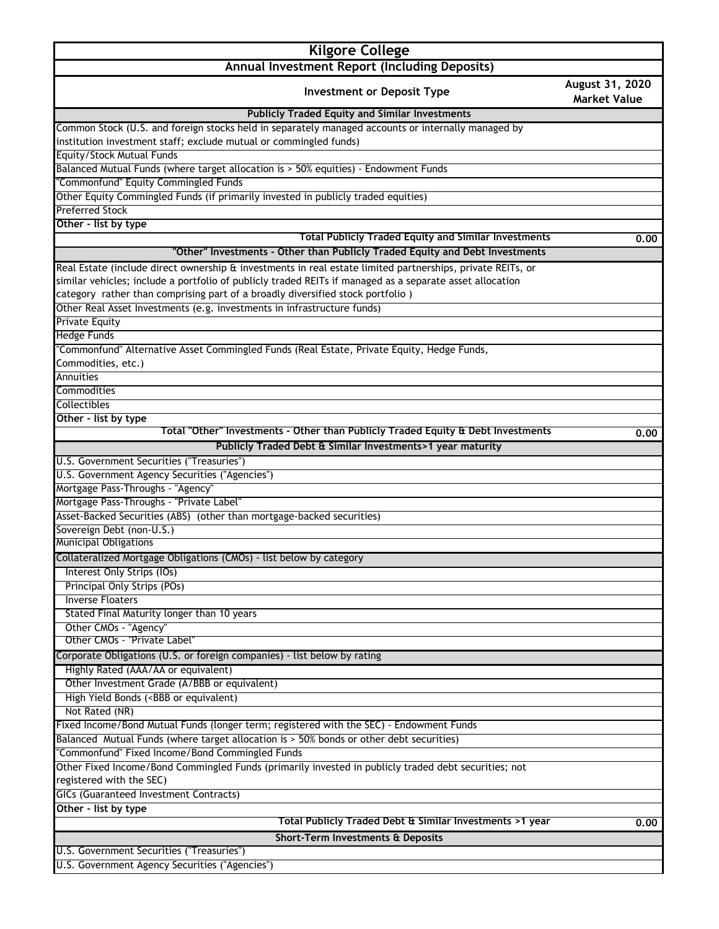| <b>Kilgore College</b>                                                                                                                                                                                                 |                                        |
|------------------------------------------------------------------------------------------------------------------------------------------------------------------------------------------------------------------------|----------------------------------------|
| Annual Investment Report (Including Deposits)                                                                                                                                                                          |                                        |
| <b>Investment or Deposit Type</b>                                                                                                                                                                                      | August 31, 2020<br><b>Market Value</b> |
| <b>Publicly Traded Equity and Similar Investments</b>                                                                                                                                                                  |                                        |
| Common Stock (U.S. and foreign stocks held in separately managed accounts or internally managed by                                                                                                                     |                                        |
| institution investment staff; exclude mutual or commingled funds)                                                                                                                                                      |                                        |
| Equity/Stock Mutual Funds                                                                                                                                                                                              |                                        |
| Balanced Mutual Funds (where target allocation is > 50% equities) - Endowment Funds                                                                                                                                    |                                        |
| "Commonfund" Equity Commingled Funds                                                                                                                                                                                   |                                        |
| Other Equity Commingled Funds (if primarily invested in publicly traded equities)                                                                                                                                      |                                        |
| <b>Preferred Stock</b>                                                                                                                                                                                                 |                                        |
| Other - list by type<br><b>Total Publicly Traded Equity and Similar Investments</b>                                                                                                                                    |                                        |
| "Other" Investments - Other than Publicly Traded Equity and Debt Investments                                                                                                                                           | 0.00                                   |
|                                                                                                                                                                                                                        |                                        |
| Real Estate (include direct ownership & investments in real estate limited partnerships, private REITs, or<br>similar vehicles; include a portfolio of publicly traded REITs if managed as a separate asset allocation |                                        |
| category rather than comprising part of a broadly diversified stock portfolio)                                                                                                                                         |                                        |
| Other Real Asset Investments (e.g. investments in infrastructure funds)                                                                                                                                                |                                        |
| <b>Private Equity</b>                                                                                                                                                                                                  |                                        |
| <b>Hedge Funds</b>                                                                                                                                                                                                     |                                        |
| "Commonfund" Alternative Asset Commingled Funds (Real Estate, Private Equity, Hedge Funds,                                                                                                                             |                                        |
| Commodities, etc.)                                                                                                                                                                                                     |                                        |
| Annuities                                                                                                                                                                                                              |                                        |
| Commodities                                                                                                                                                                                                            |                                        |
| <b>Collectibles</b>                                                                                                                                                                                                    |                                        |
| Other - list by type                                                                                                                                                                                                   |                                        |
| Total "Other" Investments - Other than Publicly Traded Equity & Debt Investments                                                                                                                                       | 0.00                                   |
| Publicly Traded Debt & Similar Investments>1 year maturity                                                                                                                                                             |                                        |
| U.S. Government Securities ("Treasuries")                                                                                                                                                                              |                                        |
| U.S. Government Agency Securities ("Agencies")                                                                                                                                                                         |                                        |
| Mortgage Pass-Throughs - "Agency"                                                                                                                                                                                      |                                        |
| Mortgage Pass-Throughs - "Private Label"                                                                                                                                                                               |                                        |
| Asset-Backed Securities (ABS) (other than mortgage-backed securities)                                                                                                                                                  |                                        |
| Sovereign Debt (non-U.S.)<br>Municipal Obligations                                                                                                                                                                     |                                        |
|                                                                                                                                                                                                                        |                                        |
| Collateralized Mortgage Obligations (CMOs) - list below by category                                                                                                                                                    |                                        |
| Interest Only Strips (IOs)<br>Principal Only Strips (POs)                                                                                                                                                              |                                        |
| <b>Inverse Floaters</b>                                                                                                                                                                                                |                                        |
| Stated Final Maturity longer than 10 years                                                                                                                                                                             |                                        |
| Other CMOs - "Agency"                                                                                                                                                                                                  |                                        |
| Other CMOs - "Private Label"                                                                                                                                                                                           |                                        |
| Corporate Obligations (U.S. or foreign companies) - list below by rating                                                                                                                                               |                                        |
| Highly Rated (AAA/AA or equivalent)                                                                                                                                                                                    |                                        |
| Other Investment Grade (A/BBB or equivalent)                                                                                                                                                                           |                                        |
| High Yield Bonds ( <bbb equivalent)<="" or="" td=""><td></td></bbb>                                                                                                                                                    |                                        |
| Not Rated (NR)                                                                                                                                                                                                         |                                        |
| Fixed Income/Bond Mutual Funds (longer term; registered with the SEC) - Endowment Funds                                                                                                                                |                                        |
| Balanced Mutual Funds (where target allocation is > 50% bonds or other debt securities)                                                                                                                                |                                        |
| "Commonfund" Fixed Income/Bond Commingled Funds                                                                                                                                                                        |                                        |
| Other Fixed Income/Bond Commingled Funds (primarily invested in publicly traded debt securities; not                                                                                                                   |                                        |
| registered with the SEC)                                                                                                                                                                                               |                                        |
| <b>GICs (Guaranteed Investment Contracts)</b>                                                                                                                                                                          |                                        |
| Other - list by type                                                                                                                                                                                                   |                                        |
| Total Publicly Traded Debt & Similar Investments >1 year                                                                                                                                                               | 0.00                                   |
| <b>Short-Term Investments &amp; Deposits</b>                                                                                                                                                                           |                                        |

U.S. Government Securities ("Treasuries") U.S. Government Agency Securities ("Agencies")